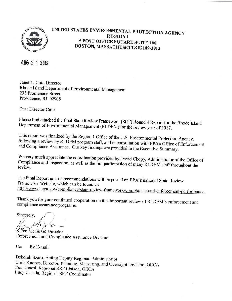

# UNITED STATES ENVIRONMENTAL PROTECTION AGENCY **REGION I 5 POST OFFICE SQUARE SUITE 100** BOSTON, MASSACHUSETTS 02109-3912

# AUG 2 1 2019

Janet L. Coit, Director Rhode Island Department of Environmental Management 235 Promenade Street Providence, RI 02908

Dear Director Coit:

Please find attached the final State Review Framework (SRF) Round 4 Report for the Rhode Island Department of Environmental Management (RI DEM) for the review year of 2017.

This report was finalized by the Region 1 Office of the U.S. Environmental Protection Agency, following a review by RI DEM program staff, and in consultation with EPA's Office of Enforcement and Compliance Assurance. Our key findings are provided in the Executive Summary.

We very much appreciate the coordination provided by David Chopy, Administrator of the Office of Compliance and Inspection, as well as the full participation of many RI DEM staff throughout the review.

The Final Report and its recommendations will be posted on EPA's national State Review Framework Website, which can be found at: http://www2.epa.gov/compliance/state-review-framework-compliance-and-enforcement-performance.

Thank you for your continued cooperation on this important review of RI DEM's enforcement and compliance assurance programs.

Sincerely.

Karen McGuire, Director Enforcement and Compliance Assurance Division

Cc: By E-mail

Deborah Szaro, Acting Deputy Regional Administrator Chris Knopes, Director, Planning, Measuring, and Oversight Division, OECA Fran Jonesi, Regional SRF Liaison, OECA Lucy Casella, Region 1 SRF Coordinator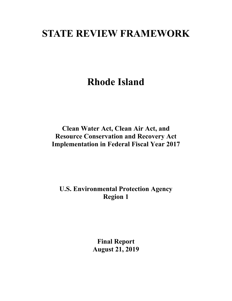# **STATE REVIEW FRAMEWORK**

**Rhode Island**

**Clean Water Act, Clean Air Act, and Resource Conservation and Recovery Act Implementation in Federal Fiscal Year 2017**

**U.S. Environmental Protection Agency Region 1**

> **Final Report August 21, 2019**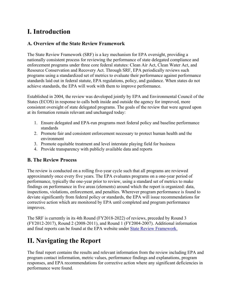# **I. Introduction**

# **A. Overview of the State Review Framework**

The State Review Framework (SRF) is a key mechanism for EPA oversight, providing a nationally consistent process for reviewing the performance of state delegated compliance and enforcement programs under three core federal statutes: Clean Air Act, Clean Water Act, and Resource Conservation and Recovery Act. Through SRF, EPA periodically reviews such programs using a standardized set of metrics to evaluate their performance against performance standards laid out in federal statute, EPA regulations, policy, and guidance. When states do not achieve standards, the EPA will work with them to improve performance.

Established in 2004, the review was developed jointly by EPA and Environmental Council of the States (ECOS) in response to calls both inside and outside the agency for improved, more consistent oversight of state delegated programs. The goals of the review that were agreed upon at its formation remain relevant and unchanged today:

- 1. Ensure delegated and EPA-run programs meet federal policy and baseline performance standards
- 2. Promote fair and consistent enforcement necessary to protect human health and the environment
- 3. Promote equitable treatment and level interstate playing field for business
- 4. Provide transparency with publicly available data and reports

# **B. The Review Process**

The review is conducted on a rolling five-year cycle such that all programs are reviewed approximately once every five years. The EPA evaluates programs on a one-year period of performance, typically the one-year prior to review, using a standard set of metrics to make findings on performance in five areas (elements) around which the report is organized: data, inspections, violations, enforcement, and penalties. Wherever program performance is found to deviate significantly from federal policy or standards, the EPA will issue recommendations for corrective action which are monitored by EPA until completed and program performance improves.

The SRF is currently in its 4th Round (FY2018-2022) of reviews, preceded by Round 3 (FY2012-2017), Round 2 (2008-2011), and Round 1 (FY2004-2007). Additional information and final reports can be found at the EPA website under [State Review Framework.](https://www.epa.gov/compliance/state-review-framework-compliance-and-enforcement-performance)

# **II. Navigating the Report**

The final report contains the results and relevant information from the review including EPA and program contact information, metric values, performance findings and explanations, program responses, and EPA recommendations for corrective action where any significant deficiencies in performance were found.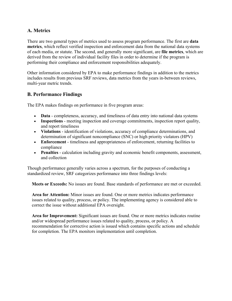# **A. Metrics**

There are two general types of metrics used to assess program performance. The first are **data metrics**, which reflect verified inspection and enforcement data from the national data systems of each media, or statute. The second, and generally more significant, are **file metrics**, which are derived from the review of individual facility files in order to determine if the program is performing their compliance and enforcement responsibilities adequately.

Other information considered by EPA to make performance findings in addition to the metrics includes results from previous SRF reviews, data metrics from the years in-between reviews, multi-year metric trends.

# **B. Performance Findings**

The EPA makes findings on performance in five program areas:

- **Data** completeness, accuracy, and timeliness of data entry into national data systems
- **Inspections** meeting inspection and coverage commitments, inspection report quality, and report timeliness
- **Violations** identification of violations, accuracy of compliance determinations, and determination of significant noncompliance (SNC) or high priority violators (HPV)
- **Enforcement** timeliness and appropriateness of enforcement, returning facilities to compliance
- **Penalties** calculation including gravity and economic benefit components, assessment, and collection

Though performance generally varies across a spectrum, for the purposes of conducting a standardized review, SRF categorizes performance into three findings levels:

**Meets or Exceeds:** No issues are found. Base standards of performance are met or exceeded.

**Area for Attention:** Minor issues are found. One or more metrics indicates performance issues related to quality, process, or policy. The implementing agency is considered able to correct the issue without additional EPA oversight.

**Area for Improvement:** Significant issues are found. One or more metrics indicates routine and/or widespread performance issues related to quality, process, or policy. A recommendation for corrective action is issued which contains specific actions and schedule for completion. The EPA monitors implementation until completion.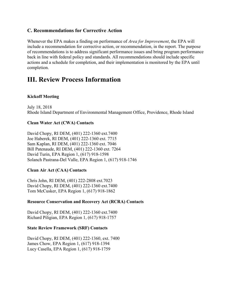# **C. Recommendations for Corrective Action**

Whenever the EPA makes a finding on performance of *Area for Improvement*, the EPA will include a recommendation for corrective action, or recommendation, in the report. The purpose of recommendations is to address significant performance issues and bring program performance back in line with federal policy and standards. All recommendations should include specific actions and a schedule for completion, and their implementation is monitored by the EPA until completion.

# **III. Review Process Information**

# **Kickoff Meeting**

July 18, 2018 Rhode Island Department of Environmental Management Office, Providence, Rhode Island

# **Clean Water Act (CWA) Contacts**

David Chopy, RI DEM, (401) 222-1360 ext.7400 Joe Haberek, RI DEM, (401) 222-1360 ext. 7715 Sam Kaplan, RI DEM, (401) 222-1360 ext. 7046 Bill Patenaude, RI DEM, (401) 222-1360 ext. 7264 David Turin, EPA Region 1, (617) 918-1598 Solanch Pastrana-Del Valle, EPA Region 1, (617) 918-1746

# **Clean Air Act (CAA) Contacts**

Chris John, RI DEM, (401) 222-2808 ext.7023 David Chopy, RI DEM, (401) 222-1360 ext.7400 Tom McCusker, EPA Region 1, (617) 918-1862

# **Resource Conservation and Recovery Act (RCRA) Contacts**

David Chopy, RI DEM, (401) 222-1360 ext.7400 Richard Piligian, EPA Region 1, (617) 918-1757

# **State Review Framework (SRF) Contacts**

David Chopy, RI DEM, (401) 222-1360, ext. 7400 James Chow, EPA Region 1, (617) 918-1394 Lucy Casella, EPA Region 1, (617) 918-1759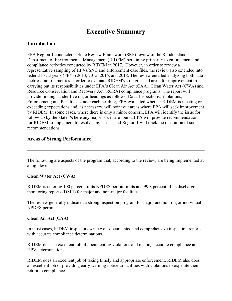# **Executive Summary**

# **Introduction**

EPA Region 1 conducted a State Review Framework (SRF) review of the Rhode Island Department of Environmental Management (RIDEM) pertaining primarily to enforcement and compliance activities conducted by RIDEM in 2017. However, in order to review a representative sampling of HPVs/SNC and enforcement case files, the review also extended into federal fiscal years (FFYs) 2013, 2015, 2016, and 2018. The review entailed analyzing both data metrics and file metrics in order to evaluate RIDEM's strengths and areas for improvement in carrying out its responsibilities under EPA's Clean Air Act (CAA), Clean Water Act (CWA) and Resource Conservation and Recovery Act (RCRA) compliance programs. The report will provide findings under five major headings as follows: Data; Inspections; Violations; Enforcement; and Penalties. Under each heading, EPA evaluated whether RIDEM is meeting or exceeding expectations and, as necessary, will point out areas where EPA will seek improvement by RIDEM. In some cases, where there is only a minor concern, EPA will identify the issue for follow up by the State. Where any major issues are found, EPA will provide recommendations for RIDEM to implement to resolve any issues, and Region 1 will track the resolution of such recommendations.

# **Areas of Strong Performance**

The following are aspects of the program that, according to the review, are being implemented at a high level:

# **Clean Water Act (CWA)**

RIDEM is entering 100 percent of its NPDES permit limits and 99.8 percent of its discharge monitoring reports (DMR) for major and non-major facilities.

The review generally indicated a strong inspection program for major and non-major individual NPDES permits.

# **Clean Air Act (CAA)**

In most cases, RIDEM inspectors write well-documented and comprehensive inspection reports with accurate compliance determinations.

RIDEM does an excellent job of documenting violations and making accurate compliance and HPV determinations.

RIDEM does an excellent job of taking timely and appropriate enforcement. RIDEM also does an excellent job of providing early warning notice to facilities with violations to expedite their return to compliance.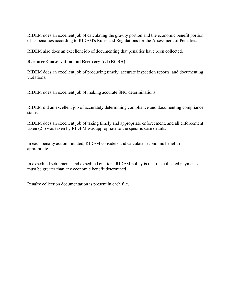RIDEM does an excellent job of calculating the gravity portion and the economic benefit portion of its penalties according to RIDEM's Rules and Regulations for the Assessment of Penalties.

RIDEM also does an excellent job of documenting that penalties have been collected.

# **Resource Conservation and Recovery Act (RCRA)**

RIDEM does an excellent job of producing timely, accurate inspection reports, and documenting violations.

RIDEM does an excellent job of making accurate SNC determinations.

RIDEM did an excellent job of accurately determining compliance and documenting compliance status.

RIDEM does an excellent job of taking timely and appropriate enforcement, and all enforcement taken (21) was taken by RIDEM was appropriate to the specific case details.

In each penalty action initiated, RIDEM considers and calculates economic benefit if appropriate.

In expedited settlements and expedited citations RIDEM policy is that the collected payments must be greater than any economic benefit determined.

Penalty collection documentation is present in each file.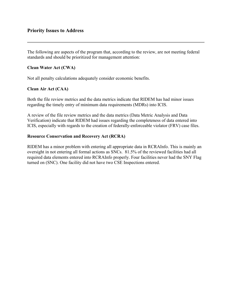# **Priority Issues to Address**

The following are aspects of the program that, according to the review, are not meeting federal standards and should be prioritized for management attention:

# **Clean Water Act (CWA)**

Not all penalty calculations adequately consider economic benefits.

# **Clean Air Act (CAA)**

Both the file review metrics and the data metrics indicate that RIDEM has had minor issues regarding the timely entry of minimum data requirements (MDRs) into ICIS.

A review of the file review metrics and the data metrics (Data Metric Analysis and Data Verification) indicate that RIDEM had issues regarding the completeness of data entered into ICIS, especially with regards to the creation of federally-enforceable violator (FRV) case files.

# **Resource Conservation and Recovery Act (RCRA)**

RIDEM has a minor problem with entering all appropriate data in RCRAInfo. This is mainly an oversight in not entering all formal actions as SNCs. 81.5% of the reviewed facilities had all required data elements entered into RCRAInfo properly. Four facilities never had the SNY Flag turned on (SNC). One facility did not have two CSE Inspections entered.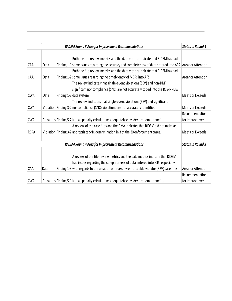|             |      | RI DEM Round 3 Area for Improvement Recommendations                                                                                                                                                                                                         | <b>Status in Round 4</b> |
|-------------|------|-------------------------------------------------------------------------------------------------------------------------------------------------------------------------------------------------------------------------------------------------------------|--------------------------|
| CAA         | Data | Both the file review metrics and the data metrics indicate that RIDEM has had<br>Finding 1-1 some issues regarding the accuracy and completeness of data entered into AFS. Area for Attention                                                               |                          |
| CAA         | Data | Both the file review metrics and the data metrics indicate that RIDEM has had<br>Finding 1-2 some issues regarding the timely entry of MDRs into AFS.                                                                                                       | Area for Attention       |
| <b>CWA</b>  | Data | The review indicates that single-event violations (SEV) and non-DMR<br>significant noncompliance (SNC) are not accurately coded into the ICIS-NPDES<br>Finding 1-3 data system.                                                                             | Meets or Exceeds         |
|             |      | The review indicates that single-event violations (SEV) and significant                                                                                                                                                                                     |                          |
| <b>CWA</b>  |      | Violation Finding 3-2 noncompliance (SNC) violations are not accurately identified.                                                                                                                                                                         | Meets or Exceeds         |
|             |      |                                                                                                                                                                                                                                                             | Recommendation           |
| <b>CWA</b>  |      | Penalties Finding 5-2 Not all penalty calculations adequately consider economic benefits.                                                                                                                                                                   | for Improvement          |
| <b>RCRA</b> |      | A review of the case files and the DMA indicates that RIDEM did not make an<br>Violation Finding 3-2 appropriate SNC determination in 3 of the 20 enforcement cases.                                                                                        | Meets or Exceeds         |
|             |      | RI DEM Round 4 Area for Improvement Recommendations                                                                                                                                                                                                         | <b>Status in Round 3</b> |
| CAA         | Data | A review of the file review metrics and the data metrics indicate that RIDEM<br>had issues regarding the completeness of data entered into ICIS, especially<br>Finding 1-3 with regards to the creation of federally-enforceable violator (FRV) case files. | Area for Attention       |
|             |      |                                                                                                                                                                                                                                                             | Recommendation           |
| <b>CWA</b>  |      | Penalties Finding 5-1 Not all penalty calculations adequately consider economic benefits.                                                                                                                                                                   | for Improvement          |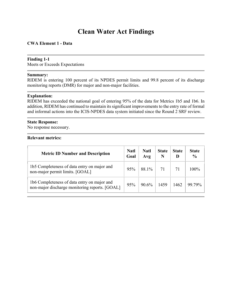# **Clean Water Act Findings**

# **CWA Element 1 - Data**

#### **Finding 1-1**

Meets or Exceeds Expectations

#### **Summary:**

RIDEM is entering 100 percent of its NPDES permit limits and 99.8 percent of its discharge monitoring reports (DMR) for major and non-major facilities.

#### **Explanation:**

RIDEM has exceeded the national goal of entering 95% of the data for Metrics 1b5 and 1b6. In addition, RIDEM has continued to maintain its significant improvements to the entry rate of formal and informal actions into the ICIS-NPDES data system initiated since the Round 2 SRF review.

# **State Response:**

No response necessary.

| <b>Metric ID Number and Description</b>                                                       | <b>Natl</b><br>Goal | <b>Natl</b><br>Avg | <b>State</b><br>N | <b>State</b><br>D | <b>State</b><br>$\frac{6}{6}$ |
|-----------------------------------------------------------------------------------------------|---------------------|--------------------|-------------------|-------------------|-------------------------------|
| 1b5 Completeness of data entry on major and<br>non-major permit limits. [GOAL]                | 95%                 | 88.1%              | 71                | 71                | $100\%$                       |
| 1b6 Completeness of data entry on major and<br>non-major discharge monitoring reports. [GOAL] | 95%                 | $90.6\%$           | 1459              | 1462              | 99.79%                        |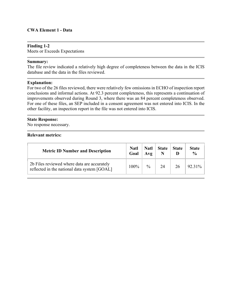## **CWA Element 1 - Data**

#### **Finding 1-2**

Meets or Exceeds Expectations

#### **Summary:**

The file review indicated a relatively high degree of completeness between the data in the ICIS database and the data in the files reviewed.

#### **Explanation:**

For two of the 26 files reviewed, there were relatively few omissions in ECHO of inspection report conclusions and informal actions. At 92.3 percent completeness, this represents a continuation of improvements observed during Round 3, where there was an 84 percent completeness observed. For one of these files, an SEP included in a consent agreement was not entered into ICIS. In the other facility, an inspection report in the file was not entered into ICIS.

#### **State Response:**

No response necessary.

| <b>Metric ID Number and Description</b>                                                     | <b>Natl</b><br>Goal | <b>Natl</b><br>Avg | <b>State</b> | <b>State</b> | <b>State</b><br>$\frac{0}{0}$ |
|---------------------------------------------------------------------------------------------|---------------------|--------------------|--------------|--------------|-------------------------------|
| 2b Files reviewed where data are accurately<br>reflected in the national data system [GOAL] | $100\%$             | $\frac{0}{0}$      | 24           | 26           | 92.31%                        |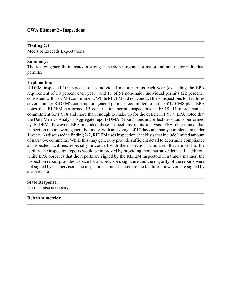#### **CWA Element 2 - Inspections**

#### **Finding 2-1**

Meets or Exceeds Expectations

#### **Summary:**

The review generally indicated a strong inspection program for major and non-major individual permits.

#### **Explanation:**

RIDEM inspected 100 percent of its individual major permits each year (exceeding the EPA requirement of 50 percent each year), and 11 of 51 non-major individual permits (22 percent), consistent with its CMS commitment. While RIDEM did not conduct the 8 inspections for facilities covered under RIDEM's construction general permit it committed to in its FY17 CMS plan, EPA notes that RIDEM performed 19 construction permit inspections in FY18, 11 more than its commitment for FY18 and more than enough to make up for the deficit in FY17. EPA noted that the Data Metrics Analysis Aggregate report (DMA Report) does not reflect desk audits performed by RIDEM, however, EPA included these inspections in its analysis. EPA determined that inspection reports were generally timely, with an average of 17 days and many completed in under 1 week. As discussed in finding 2-2, RIDEM uses inspection checklists that include limited amount of narrative comments. While this may generally provide sufficient detail to determine compliance at inspected facilities, especially in concert with the inspection summaries that are sent to the facility, the inspection reports would be improved by providing more narrative details. In addition, while EPA observes that the reports are signed by the RIDEM inspectors in a timely manner, the inspection report provides a space for a supervisor's signature and the majority of the reports were not signed by a supervisor. The inspection summaries sent to the facilities, however, are signed by a supervisor.

#### **State Response:**

No response necessary.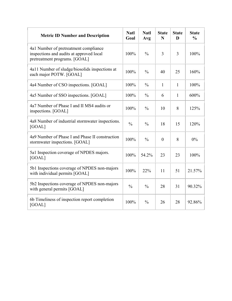| <b>Metric ID Number and Description</b>                                                                            | <b>Natl</b><br>Goal | <b>Natl</b><br>Avg | <b>State</b><br>N | <b>State</b><br>D | <b>State</b><br>$\frac{0}{0}$ |
|--------------------------------------------------------------------------------------------------------------------|---------------------|--------------------|-------------------|-------------------|-------------------------------|
| 4a1 Number of pretreatment compliance<br>inspections and audits at approved local<br>pretreatment programs. [GOAL] | 100%                | $\frac{0}{0}$      | 3                 | $\overline{3}$    | 100%                          |
| 4a11 Number of sludge/biosolids inspections at<br>each major POTW. [GOAL]                                          | 100%                | $\frac{0}{0}$      | 40                | 25                | 160%                          |
| 4a4 Number of CSO inspections. [GOAL]                                                                              | 100%                | $\frac{0}{0}$      | $\mathbf{1}$      | $\mathbf{1}$      | 100%                          |
| 4a5 Number of SSO inspections. [GOAL]                                                                              | 100%                | $\frac{0}{0}$      | 6                 | $\mathbf{1}$      | 600%                          |
| 4a7 Number of Phase I and II MS4 audits or<br>inspections. [GOAL]                                                  | 100%                | $\frac{0}{0}$      | 10                | 8                 | 125%                          |
| 4a8 Number of industrial stormwater inspections.<br>[GOAL]                                                         | $\frac{0}{0}$       | $\frac{0}{0}$      | 18                | 15                | 120%                          |
| 4a9 Number of Phase I and Phase II construction<br>stormwater inspections. [GOAL]                                  | 100%                | $\frac{0}{0}$      | $\theta$          | 8                 | $0\%$                         |
| 5a1 Inspection coverage of NPDES majors.<br>[GOAL]                                                                 | 100%                | 54.2%              | 23                | 23                | 100%                          |
| 5b1 Inspections coverage of NPDES non-majors<br>with individual permits [GOAL]                                     | 100%                | 22%                | 11                | 51                | 21.57%                        |
| 5b2 Inspections coverage of NPDES non-majors<br>with general permits [GOAL]                                        | $\frac{0}{0}$       | $\frac{0}{0}$      | 28                | 31                | 90.32%                        |
| 6b Timeliness of inspection report completion<br>[GOAL]                                                            | 100%                | $\frac{0}{0}$      | 26                | 28                | 92.86%                        |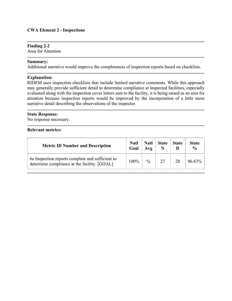## **Finding 2-2**

Area for Attention

#### **Summary:**

Additional narrative would improve the completeness of inspection reports based on checklists.

## **Explanation:**

RIDEM uses inspection checklists that include limited narrative comments. While this approach may generally provide sufficient detail to determine compliance at inspected facilities, especially evaluated along with the inspection cover letters sent to the facility, it is being raised as an area for attention because inspection reports would be improved by the incorporation of a little more narrative detail describing the observations of the inspector.

# **State Response:**

No response necessary.

| <b>Metric ID Number and Description</b>                                                          | <b>Natl</b><br>Goal | <b>Natl</b><br>Avg | <b>State</b> | <b>State</b> | <b>State</b><br>$\frac{0}{0}$ |
|--------------------------------------------------------------------------------------------------|---------------------|--------------------|--------------|--------------|-------------------------------|
| 6a Inspection reports complete and sufficient to<br>determine compliance at the facility. [GOAL] | $100\%$             | $\frac{0}{0}$      | 27           | 28           | 96.43%                        |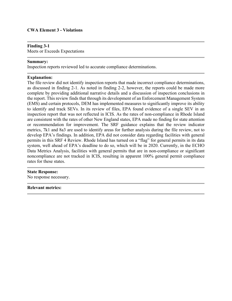#### **CWA Element 3 - Violations**

#### **Finding 3-1**

Meets or Exceeds Expectations

#### **Summary:**

Inspection reports reviewed led to accurate compliance determinations.

#### **Explanation:**

The file review did not identify inspection reports that made incorrect compliance determinations, as discussed in finding 2-1. As noted in finding 2-2, however, the reports could be made more complete by providing additional narrative details and a discussion of inspection conclusions in the report. This review finds that through its development of an Enforcement Management System (EMS) and certain protocols, DEM has implemented measures to significantly improve its ability to identify and track SEVs. In its review of files, EPA found evidence of a single SEV in an inspection report that was not reflected in ICIS. As the rates of non-compliance in Rhode Island are consistent with the rates of other New England states, EPA made no finding for state attention or recommendation for improvement. The SRF guidance explains that the review indicator metrics, 7k1 and 8a3 are used to identify areas for further analysis during the file review, not to develop EPA's findings. In addition, EPA did not consider data regarding facilities with general permits in this SRF 4 Review. Rhode Island has turned on a "flag" for general permits in its data system, well ahead of EPA's deadline to do so, which will be in 2020. Currently, in the ECHO Data Metrics Analysis, facilities with general permits that are in non-compliance or significant noncompliance are not tracked in ICIS, resulting in apparent 100% general permit compliance rates for these states.

#### **State Response:**

No response necessary.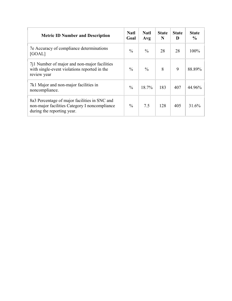| <b>Metric ID Number and Description</b>                                                                                      | <b>Natl</b><br>Goal | <b>Natl</b><br>Avg | <b>State</b><br>N | <b>State</b><br>Ð | <b>State</b><br>$\frac{6}{9}$ |
|------------------------------------------------------------------------------------------------------------------------------|---------------------|--------------------|-------------------|-------------------|-------------------------------|
| 7e Accuracy of compliance determinations<br>[GOAL]                                                                           | $\frac{0}{0}$       | $\frac{0}{0}$      | 28                | 28                | 100%                          |
| 711 Number of major and non-major facilities<br>with single-event violations reported in the<br>review year                  | $\frac{0}{0}$       | $\frac{0}{0}$      | 8                 | 9                 | 88.89%                        |
| 7k1 Major and non-major facilities in<br>noncompliance.                                                                      | $\frac{0}{0}$       | 18.7%              | 183               | 407               | 44.96%                        |
| 8a3 Percentage of major facilities in SNC and<br>non-major facilities Category I noncompliance<br>during the reporting year. | $\frac{0}{0}$       | 7.5                | 128               | 405               | 31.6%                         |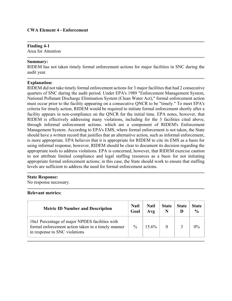## **Finding 4-1**

Area for Attention

## **Summary:**

RIDEM has not taken timely formal enforcement actions for major facilities in SNC during the audit year.

#### **Explanation:**

RIDEM did not take timely formal enforcement actions for 3 major facilities that had 2 consecutive quarters of SNC during the audit period. Under EPA's 1989 "Enforcement Management System, National Pollutant Discharge Elimination System (Clean Water Act)," formal enforcement action must occur prior to the facility appearing on a consecutive QNCR to be "timely." To meet EPA's criteria for timely action, RIDEM would be required to initiate formal enforcement shortly after a facility appears in non-compliance on the QNCR for the initial time. EPA notes, however, that RIDEM is effectively addressing many violations, including for the 3 facilities cited above, through informal enforcement actions. which are a component of RIDEM's Enforcement Management System. According to EPA's EMS, where formal enforcement is not taken, the State should have a written record that justifies that an alternative action, such as informal enforcement, is more appropriate. EPA believes that it is appropriate for RIDEM to cite its EMS as a basis for using informal response, however, RIDEM should be clear to document its decision regarding the appropriate tools to address violations. EPA is concerned, however, that RIDEM exercise caution to not attribute limited compliance and legal staffing resources as a basis for not initiating appropriate formal enforcement actions; in this case, the State should work to ensure that staffing levels are sufficient to address the need for formal enforcement actions.

#### **State Response:**

No response necessary.

| <b>Metric ID Number and Description</b>                                                                                               | <b>Natl</b><br>Goal | Natl<br>Avg | <b>State</b> | <b>State</b> | State<br>$\frac{6}{9}$ |
|---------------------------------------------------------------------------------------------------------------------------------------|---------------------|-------------|--------------|--------------|------------------------|
| 10a1 Percentage of major NPDES facilities with<br>formal enforcement action taken in a timely manner<br>in response to SNC violations | $\frac{0}{0}$       | $15.6\%$    |              |              | $0\%$                  |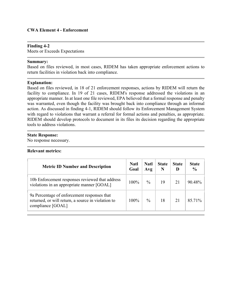## **CWA Element 4 - Enforcement**

#### **Finding 4-2**

Meets or Exceeds Expectations

#### **Summary:**

Based on files reviewed, in most cases, RIDEM has taken appropriate enforcement actions to return facilities in violation back into compliance.

#### **Explanation:**

Based on files reviewed, in 18 of 21 enforcement responses, actions by RIDEM will return the facility to compliance. In 19 of 21 cases, RIDEM's response addressed the violations in an appropriate manner. In at least one file reviewed, EPA believed that a formal response and penalty was warranted, even though the facility was brought back into compliance through an informal action. As discussed in finding 4-1, RIDEM should follow its Enforcement Management System with regard to violations that warrant a referral for formal actions and penalties, as appropriate. RIDEM should develop protocols to document in its files its decision regarding the appropriate tools to address violations.

#### **State Response:**

No response necessary.

| <b>Metric ID Number and Description</b>                                                                                | <b>Natl</b><br>Goal | <b>Natl</b><br>Avg | <b>State</b> | <b>State</b><br>Đ | <b>State</b><br>$\frac{0}{0}$ |
|------------------------------------------------------------------------------------------------------------------------|---------------------|--------------------|--------------|-------------------|-------------------------------|
| 10b Enforcement responses reviewed that address<br>violations in an appropriate manner [GOAL]                          | $100\%$             | $\%$               | 19           | 21                | 90.48%                        |
| 9a Percentage of enforcement responses that<br>returned, or will return, a source in violation to<br>compliance [GOAL] | $100\%$             | $\frac{0}{0}$      | 18           | 21                | 85.71%                        |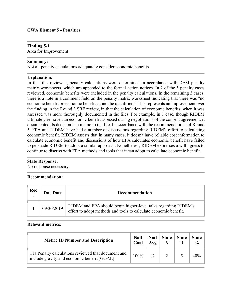# **Finding 5-1**

Area for Improvement

#### **Summary:**

Not all penalty calculations adequately consider economic benefits.

# **Explanation:**

In the files reviewed, penalty calculations were determined in accordance with DEM penalty matrix worksheets, which are appended to the formal action notices. In 2 of the 5 penalty cases reviewed, economic benefits were included in the penalty calculations. In the remaining 3 cases, there is a note in a comment field on the penalty matrix worksheet indicating that there was "no economic benefit or economic benefit cannot be quantified." This represents an improvement over the finding in the Round 3 SRF review, in that the calculation of economic benefits, when it was assessed was more thoroughly documented in the files. For example, in 1 case, though RIDEM ultimately removed an economic benefit assessed during negotiations of the consent agreement, it documented its decision in a memo to the file. In accordance with the recommendations of Round 3, EPA and RIDEM have had a number of discussions regarding RIDEM's effort to calculating economic benefit. RIDEM asserts that in many cases, it doesn't have reliable cost information to calculate economic benefit and discussions of how EPA calculates economic benefit have failed to persuade RIDEM to adopt a similar approach. Nonetheless, RIDEM expresses a willingness to continue to discuss with EPA methods and tools that it can adopt to calculate economic benefit.

#### **State Response:**

No response necessary.

#### **Recommendation:**

| Rec<br>$\overline{H}$ | <b>Due Date</b> | Recommendation                                                                                                                      |  |  |  |  |  |
|-----------------------|-----------------|-------------------------------------------------------------------------------------------------------------------------------------|--|--|--|--|--|
|                       | 09/30/2019      | RIDEM and EPA should begin higher-level talks regarding RIDEM's<br>effort to adopt methods and tools to calculate economic benefit. |  |  |  |  |  |

| <b>Metric ID Number and Description</b>                                                            | <b>Natl</b><br>Goal | <b>Natl</b><br>Avg | <b>State</b> | <b>State</b> | State<br>$\frac{0}{0}$ |
|----------------------------------------------------------------------------------------------------|---------------------|--------------------|--------------|--------------|------------------------|
| 11a Penalty calculations reviewed that document and<br>include gravity and economic benefit [GOAL] | 100%                | $\frac{0}{0}$      |              |              |                        |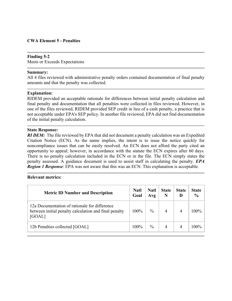# **CWA Element 5 - Penalties**

#### **Finding 5-2**

Meets or Exceeds Expectations

#### **Summary:**

All 4 files reviewed with administrative penalty orders contained documentation of final penalty amounts and that the penalty was collected.

#### **Explanation:**

RIDEM provided an acceptable rationale for differences between initial penalty calculation and final penalty and documentation that all penalties were collected in files reviewed. However, in one of the files reviewed, RIDEM provided SEP credit in lieu of a cash penalty, a practice that is not acceptable under EPA's SEP policy. In another file reviewed, EPA did not find documentation of the initial penalty calculation.

#### **State Response:**

*RI DEM*: The file reviewed by EPA that did not document a penalty calculation was an Expedited Citation Notice (ECN). As the name implies, the intent is to issue the notice quickly for noncompliance issues that can be easily resolved. An ECN does not afford the party cited an opportunity to appeal; however, in accordance with the statute the ECN expires after 60 days. There is no penalty calculation included in the ECN or in the file. The ECN simply states the penalty assessed. A guidance document is used to assist staff in calculating the penalty. *EPA Region 1 Response*: EPA was not aware that this was an ECN. This explanation is acceptable.

| <b>Metric ID Number and Description</b>                                                                          | <b>Natl</b><br>Goal | <b>Natl</b><br>Avg | <b>State</b><br>N | <b>State</b><br>D | <b>State</b><br>$\frac{6}{9}$ |
|------------------------------------------------------------------------------------------------------------------|---------------------|--------------------|-------------------|-------------------|-------------------------------|
| 12a Documentation of rationale for difference<br>between initial penalty calculation and final penalty<br>[GOAL] | 100%                | $\frac{0}{0}$      |                   |                   | $100\%$                       |
| 12b Penalties collected [GOAL]                                                                                   | $100\%$             | $\frac{0}{0}$      | 4                 | 4                 | $100\%$                       |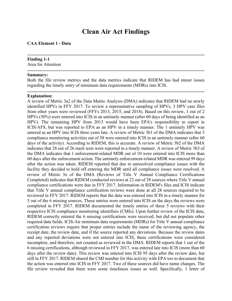# **Clean Air Act Findings**

#### **CAA Element 1 - Data**

# **Finding 1-1**

Area for Attention

#### **Summary:**

Both the file review metrics and the data metrics indicate that RIDEM has had minor issues regarding the timely entry of minimum data requirements (MDRs) into ICIS.

#### **Explanation:**

A review of Metric 3a2 of the Data Metric Analysis (DMA) indicates that RIDEM had no newly identified HPVs in FFY 2017. To review a representative sampling of HPVs, 3 HPV case files from other years were reviewed (FFYs 2013, 2015, and 2018). Based on this review, 1 out of 2 HPVs (50%) were entered into ICIS in an untimely manner (after 60 days of being identified as an HPV). The remaining HPV from 2013 would have been EPA's responsibility to report in ICIS/AFS, but was reported to EPA as an HPV in a timely manner. The 1 untimely HPV was entered as an HPV into ICIS three years late. A review of Metric 3b1 of the DMA indicates that 3 compliance monitoring activities out of 58 were entered into ICIS in an untimely manner (after 60 days of the activity). According to RIDEM, this is accurate. A review of Metric 3b2 of the DMA indicates that 26 out of 26 stack tests were reported in a timely manner. A review of Metric 3b3 of the DMA indicates that 1 enforcement-related MDR out of 10 were entered into ICIS more than 60 days after the enforcement action. The untimely enforcement-related MDR was entered 99 days after the action was taken. RIDEM reported that due to unresolved compliance issues with the facility they decided to hold off entering the MDR until all compliance issues were resolved. A review of Metric 5e of the DMA (Reviews of Title V Annual Compliance Certifications Completed) indicates that RIDEM conducted reviews at 22 out of 28 sources where Title V annual compliance certifications were due in FFY 2017. Information in RIDEM's files and ICIS indicate that Title V annual compliance certification reviews were done at all 28 sources required to be reviewed in FFY 2017. RIDEM reports that the data was entered into ICIS in a timely manner for 5 out of the 6 missing sources. These entries were entered into ICIS on the days the reviews were completed in FFY 2017. RIDEM documented the timely entries of these 5 reviews with their respective ICIS compliance monitoring identifiers (CMIs). Upon further review of the ICIS data, RIDEM correctly entered the 6 missing certifications were received, but did not populate other required data fields. ICIS-Air minimum data requirements (MDRs) for Title V annual compliance certification reviews require that proper entries include the name of the reviewing agency, the receipt date, the review date, and if the source reported any deviations. Because the review dates and any reported deviations were not entered into ICIS, these certifications were considered incomplete, and therefore, not counted as reviewed in the DMA. RIDEM reports that 1 out of the 6 missing certifications, although reviewed in FFY 2017, was entered late into ICIS (more than 60 days after the review date). This review was entered into ICIS 95 days after the review date, but still in FFY 2017. RIDEM shared the CMI number for this activity with EPA too to document that the action was entered into ICIS in FFY 2017. Two of these sources did have name changes. The file review revealed that there were some timeliness issues as well. Specifically, 1 letter of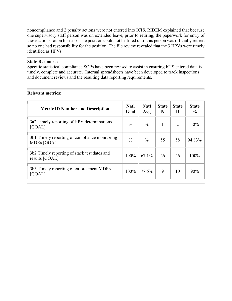noncompliance and 2 penalty actions were not entered into ICIS. RIDEM explained that because one supervisory staff person was on extended leave, prior to retiring, the paperwork for entry of these actions sat on his desk. The position could not be filled until this person was officially retired so no one had responsibility for the position. The file review revealed that the 3 HPVs were timely identified as HPVs.

#### **State Response:**

Specific statistical compliance SOPs have been revised to assist in ensuring ICIS entered data is timely, complete and accurate. Internal spreadsheets have been developed to track inspections and document reviews and the resulting data reporting requirements.

| <b>Metric ID Number and Description</b>                        | <b>Natl</b><br>Goal | <b>Natl</b><br>Avg | <b>State</b><br>N | <b>State</b><br>D | <b>State</b><br>$\frac{6}{9}$ |
|----------------------------------------------------------------|---------------------|--------------------|-------------------|-------------------|-------------------------------|
| 3a2 Timely reporting of HPV determinations<br>[GOAL]           | $\frac{0}{0}$       | $\frac{0}{0}$      | 1                 | $\overline{2}$    | 50%                           |
| 3b1 Timely reporting of compliance monitoring<br>MDRs [GOAL]   | $\frac{0}{0}$       | $\frac{0}{0}$      | 55                | 58                | 94.83%                        |
| 3b2 Timely reporting of stack test dates and<br>results [GOAL] | 100%                | $67.1\%$           | 26                | 26                | $100\%$                       |
| 3b3 Timely reporting of enforcement MDRs<br>[GOAL]             | 100%                | 77.6%              | 9                 | 10                | $90\%$                        |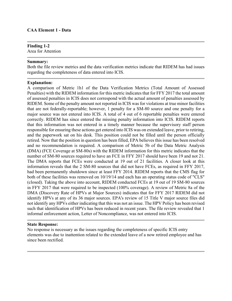## **Finding 1-2**

Area for Attention

#### **Summary:**

Both the file review metrics and the data verification metrics indicate that RIDEM has had issues regarding the completeness of data entered into ICIS.

#### **Explanation:**

A comparison of Metric 1h1 of the Data Verification Metrics (Total Amount of Assessed Penalties) with the RIDEM information for this metric indicates that for FFY 2017 the total amount of assessed penalties in ICIS does not correspond with the actual amount of penalties assessed by RIDEM. Some of the penalty amount not reported in ICIS was for violations at true minor facilities that are not federally-reportable; however, 1 penalty for a SM-80 source and one penalty for a major source was not entered into ICIS. A total of 4 out of 6 reportable penalties were entered correctly. RIDEM has since entered the missing penalty information into ICIS. RIDEM reports that this information was not entered in a timely manner because the supervisory staff person responsible for ensuring these actions get entered into ICIS was on extended leave, prior to retiring, and the paperwork sat on his desk. This position could not be filled until the person officially retired. Now that the position in question has been filled, EPA believes this issue has been resolved and no recommendation is required. A comparison of Metric 5b of the Data Metric Analysis (DMA) (FCE Coverage at SM-80s) with the RIDEM information for this metric indicates that the number of SM-80 sources required to have an FCE in FFY 2017 should have been 19 and not 21. The DMA reports that FCEs were conducted at 19 out of 21 facilities. A closer look at this information reveals that the 2 SM-80 sources that did not have FCEs, as required in FFY 2017, had been permanently shutdown since at least FFY 2014. RIDEM reports that the CMS flag for both of these facilities was removed on 10/19/14 and each has an operating status code of "CLS" (closed). Taking the above into account, RIDEM conducted FCEs at 19 out of 19 SM-80 sources in FFY 2017 that were required to be inspected (100% coverage). A review of Metric 8a of the DMA (Discovery Rate of HPVs at Major Sources) indicates that for FFY 2017 RIDEM did not identify HPVs at any of its 36 major sources. EPA's review of 15 Title V major source files did not identify any HPVs either indicating that this was not an issue. The HPV Policy has been revised such that identification of HPVs has been reduced in recent years. The file review revealed that 1 informal enforcement action, Letter of Noncompliance, was not entered into ICIS.

#### **State Response:**

No response is necessary as the issues regarding the completeness of specific ICIS entry elements was due to inattention related to the extended leave of a now retired employee and has since been rectified.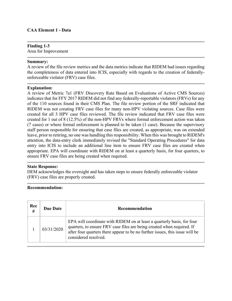# **CAA Element 1 - Data**

# **Finding 1-3**

Area for Improvement

#### **Summary:**

A review of the file review metrics and the data metrics indicate that RIDEM had issues regarding the completeness of data entered into ICIS, especially with regards to the creation of federallyenforceable violator (FRV) case files.

#### **Explanation:**

A review of Metric 7a1 (FRV Discovery Rate Based on Evaluations of Active CMS Sources) indicates that for FFY 2017 RIDEM did not find any federally-reportable violators (FRVs) for any of the 110 sources found in their CMS Plan. The file review portion of the SRF indicated that RIDEM was not creating FRV case files for many non-HPV violating sources. Case files were created for all 3 HPV case files reviewed. The file review indicated that FRV case files were created for 1 out of 8 (12.5%) of the non-HPV FRVs where formal enforcement action was taken (7 cases) or where formal enforcement is planned to be taken (1 case). Because the supervisory staff person responsible for ensuring that case files are created, as appropriate, was on extended leave, prior to retiring, no one was handling this responsibility. When this was brought to RIDEM's attention, the data-entry clerk immediately revised the "Standard Operating Procedures" for data entry into ICIS to include an additional line item to ensure FRV case files are created when appropriate. EPA will coordinate with RIDEM on at least a quarterly basis, for four quarters, to ensure FRV case files are being created when required.

#### **State Response:**

DEM acknowledges the oversight and has taken steps to ensure federally enforceable violator (FRV) case files are properly created.

# **Recommendation:**

| Rec<br># | <b>Due Date</b> | Recommendation                                                                                                                                                                                                                                           |
|----------|-----------------|----------------------------------------------------------------------------------------------------------------------------------------------------------------------------------------------------------------------------------------------------------|
|          | 03/31/2020      | EPA will coordinate with RIDEM on at least a quarterly basis, for four<br>quarters, to ensure FRV case files are being created when required. If<br>after four quarters there appear to be no further issues, this issue will be<br>considered resolved. |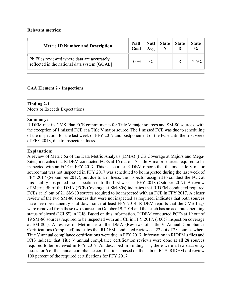## **Relevant metrics:**

| <b>Metric ID Number and Description</b>                                                     | <b>Natl</b><br>Goal | $\mathbf{N}$ atl $\mathbf{N}$<br>Avg | <b>State</b> | <b>State</b> | <b>State</b><br>$\frac{0}{0}$ |
|---------------------------------------------------------------------------------------------|---------------------|--------------------------------------|--------------|--------------|-------------------------------|
| 2b Files reviewed where data are accurately<br>reflected in the national data system [GOAL] | 100%                | $\frac{0}{0}$                        |              |              |                               |

# **CAA Element 2 - Inspections**

# **Finding 2-1**

Meets or Exceeds Expectations

#### **Summary:**

RIDEM met its CMS Plan FCE commitments for Title V major sources and SM-80 sources, with the exception of 1 missed FCE at a Title V major source. The 1 missed FCE was due to scheduling of the inspection for the last week of FFY 2017 and postponement of the FCE until the first week of FFY 2018, due to inspector illness.

## **Explanation:**

A review of Metric 5a of the Data Metric Analysis (DMA) (FCE Coverage at Majors and Mega-Sites) indicates that RIDEM conducted FCEs at 16 out of 17 Title V major sources required to be inspected with an FCE in FFY 2017. This is accurate. RIDEM reports that the one Title V major source that was not inspected in FFY 2017 was scheduled to be inspected during the last week of FFY 2017 (September 2017), but due to an illness, the inspector assigned to conduct the FCE at this facility postponed the inspection until the first week in FFY 2018 (October 2017). A review of Metric 5b of the DMA (FCE Coverage at SM-80s) indicates that RIDEM conducted required FCEs at 19 out of 21 SM-80 sources required to be inspected with an FCE in FFY 2017. A closer review of the two SM-80 sources that were not inspected as required, indicates that both sources have been permanently shut down since at least FFY 2014. RIDEM reports that the CMS flags were removed from these two sources on October 19, 2014 and that each has an accurate operating status of closed ("CLS") in ICIS. Based on this information, RIDEM conducted FCEs at 19 out of 19 SM-80 sources required to be inspected with an FCE in FFY 2017. (100% inspection coverage at SM-80s). A review of Metric 5e of the DMA (Reviews of Title V Annual Compliance Certifications Completed) indicates that RIDEM conducted reviews at 22 out of 28 sources where Title V annual compliance certifications were due in FFY 2017. Information in RIDEM's files and ICIS indicate that Title V annual compliance certification reviews were done at all 28 sources required to be reviewed in FFY 2017. As described in Finding 1-1, there were a few data entry issues for 6 of the annual compliance certifications, based on the data in ICIS. RIDEM did review 100 percent of the required certifications for FFY 2017.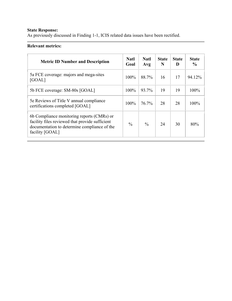# **State Response:**

As previously discussed in Finding 1-1, ICIS related data issues have been rectified.

| <b>Metric ID Number and Description</b>                                                                                                                          | <b>Natl</b><br>Goal | <b>Natl</b><br>Avg | <b>State</b><br>N | <b>State</b><br>D | <b>State</b><br>$\frac{6}{9}$ |
|------------------------------------------------------------------------------------------------------------------------------------------------------------------|---------------------|--------------------|-------------------|-------------------|-------------------------------|
| 5a FCE coverage: majors and mega-sites<br>[GOAL]                                                                                                                 | 100%                | 88.7%              | 16                | 17                | 94.12%                        |
| 5b FCE coverage: SM-80s [GOAL]                                                                                                                                   | 100%                | 93.7%              | 19                | 19                | $100\%$                       |
| 5e Reviews of Title V annual compliance<br>certifications completed [GOAL]                                                                                       | 100%                | $76.7\%$           | 28                | 28                | 100%                          |
| 6b Compliance monitoring reports (CMRs) or<br>facility files reviewed that provide sufficient<br>documentation to determine compliance of the<br>facility [GOAL] | $\frac{0}{0}$       | $\frac{0}{0}$      | 24                | 30                | 80%                           |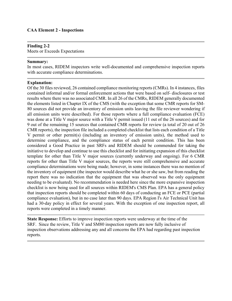# **CAA Element 2 - Inspections**

#### **Finding 2-2**

Meets or Exceeds Expectations

#### **Summary:**

In most cases, RIDEM inspectors write well-documented and comprehensive inspection reports with accurate compliance determinations.

#### **Explanation:**

Of the 30 files reviewed, 26 contained compliance monitoring reports (CMRs). In 4 instances, files contained informal and/or formal enforcement actions that were based on self- disclosures or test results where there was no associated CMR. In all 26 of the CMRs, RIDEM generally documented the elements listed in Chapter IX of the CMS (with the exception that some CMR reports for SM-80 sources did not provide an inventory of emission units leaving the file reviewer wondering if all emission units were described). For those reports where a full compliance evaluation (FCE) was done at a Title V major source with a Title V permit issued (11 out of the 26 sources) and for 9 out of the remaining 15 sources that contained CMR reports for review (a total of 20 out of 26 CMR reports), the inspection file included a completed checklist that lists each condition of a Title V permit or other permit(s) (including an inventory of emission units), the method used to determine compliance, and the compliance status of each permit condition. This has been considered a Good Practice in past SRFs and RIDEM should be commended for taking the initiative to develop and continue to use this checklist and for initiating expansion of this checklist template for other than Title V major sources (currently underway and ongoing). For 6 CMR reports for other than Title V major sources, the reports were still comprehensive and accurate compliance determinations were being made; however, in some instances there was no mention of the inventory of equipment (the inspector would describe what he or she saw, but from reading the report there was no indication that the equipment that was observed was the only equipment needing to be evaluated). No recommendation is needed here since the more expansive inspection checklist is now being used for all sources within RIDEM's CMS Plan. EPA has a general policy that inspection reports should be completed within 60 days of conducting an FCE or PCE (partial compliance evaluation), but in no case later than 90 days. EPA Region I's Air Technical Unit has had a 30-day policy in effect for several years. With the exception of one inspection report, all reports were completed in a timely manner.

**State Response:** Efforts to improve inspection reports were underway at the time of the SRF. Since the review, Title V and SM80 inspection reports are now fully inclusive of inspection observations addressing any and all concerns the EPA had regarding past inspection reports.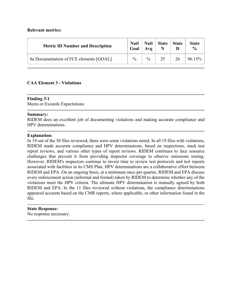## **Relevant metrics:**

| <b>Metric ID Number and Description</b> | <b>Natl</b><br>Goal | <b>Natl</b><br>Avg | <b>State</b> | <b>State</b> | <b>State</b><br>$\frac{0}{0}$ |
|-----------------------------------------|---------------------|--------------------|--------------|--------------|-------------------------------|
| 6a Documentation of FCE elements [GOAL] | $\frac{0}{0}$       | $\frac{0}{0}$      |              | 26           | 96.15%                        |

# **CAA Element 3 - Violations**

#### **Finding 3-1**

Meets or Exceeds Expectations

#### **Summary:**

RIDEM does an excellent job of documenting violations and making accurate compliance and HPV determinations.

#### **Explanation:**

In 19 out of the 30 files reviewed, there were some violations noted. In all 19 files with violations, RIDEM made accurate compliance and HPV determinations, based on inspections, stack test report reviews, and various other types of report reviews. RIDEM continues to face resource challenges that prevent it from providing inspector coverage to observe emissions testing. However, RIDEM's inspectors continue to invest time to review test protocols and test reports associated with facilities in its CMS Plan. HPV determinations are a collaborative effort between RIDEM and EPA. On an ongoing basis, at a minimum once per quarter, RIDEM and EPA discuss every enforcement action (informal and formal) taken by RIDEM to determine whether any of the violations meet the HPV criteria. The ultimate HPV determination is mutually agreed by both RIDEM and EPA. In the 11 files reviewed without violations, the compliance determinations appeared accurate based on the CMR reports, where applicable, or other information found in the file.

#### **State Response:**

No response necessary.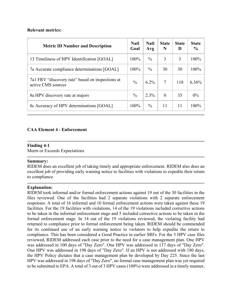# **Relevant metrics:**

| <b>Metric ID Number and Description</b>                                | <b>Natl</b><br>Goal | <b>Natl</b><br>Avg | <b>State</b><br>N | <b>State</b><br>D | <b>State</b><br>$\frac{6}{6}$ |
|------------------------------------------------------------------------|---------------------|--------------------|-------------------|-------------------|-------------------------------|
| 13 Timeliness of HPV Identification [GOAL]                             | 100%                | $\frac{0}{0}$      | 3                 | 3                 | 100%                          |
| 7a Accurate compliance determinations [GOAL]                           | $100\%$             | $\frac{0}{0}$      | 30                | 30                | 100%                          |
| 7a1 FRV "discovery rate" based on inspections at<br>active CMS sources | $\frac{0}{0}$       | $6.2\%$            | 7                 | 110               | $6.36\%$                      |
| 8a HPV discovery rate at majors                                        | $\frac{0}{0}$       | 2.3%               | $\theta$          | 35                | $0\%$                         |
| 8c Accuracy of HPV determinations [GOAL]                               | 100%                | $\frac{0}{0}$      | 11                | 11                | 100%                          |

# **CAA Element 4 - Enforcement**

# **Finding 4-1**

Meets or Exceeds Expectations

#### **Summary:**

RIDEM does an excellent job of taking timely and appropriate enforcement. RIDEM also does an excellent job of providing early warning notice to facilities with violations to expedite their return to compliance.

# **Explanation:**

RIDEM took informal and/or formal enforcement actions against 19 out of the 30 facilities in the files reviewed. One of the facilities had 2 separate violations with 2 separate enforcement responses. A total of 16 informal and 10 formal enforcement actions were taken against these 19 facilities. For the 19 facilities with violations, 14 of the 19 violations included corrective actions to be taken in the informal enforcement stage and 5 included corrective actions to be taken in the formal enforcement stage. In 14 out of the 19 violations reviewed, the violating facility had returned to compliance prior to formal enforcement being taken. RIDEM should be commended for its continued use of an early warning notice to violators to help expedite the return to compliance. This has been considered a Good Practice in earlier SRFs. For the 3 HPV case files reviewed, RIDEM addressed each case prior to the need for a case management plan. One HPV was addressed in 100 days of "Day Zero". One HPV was addressed in 137 days of "Day Zero". One HPV was addressed in 198 days of "Day Zero". If an HPV is not addressed with 180 days, the HPV Policy dictates that a case management plan be developed by Day 225. Since the last HPV was addressed in 198 days of "Day Zero", no formal case management plan was yet required to be submitted to EPA. A total of 3 out of 3 HPV cases (100%) were addressed in a timely manner,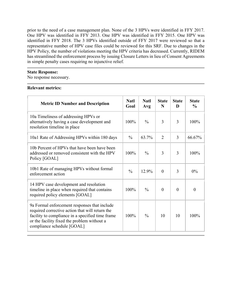prior to the need of a case management plan. None of the 3 HPVs were identified in FFY 2017. One HPV was identified in FFY 2013. One HPV was identified in FFY 2015. One HPV was identified in FFY 2018. The 3 HPVs identified outside of FFY 2017 were reviewed so that a representative number of HPV case files could be reviewed for this SRF. Due to changes in the HPV Policy, the number of violations meeting the HPV criteria has decreased. Currently, RIDEM has streamlined the enforcement process by issuing Closure Letters in lieu of Consent Agreements in simple penalty cases requiring no injunctive relief.

#### **State Response:**

No response necessary.

| <b>Metric ID Number and Description</b>                                                                                                                                                                                          | <b>Natl</b><br>Goal | <b>Natl</b><br>Avg | <b>State</b><br>N | <b>State</b><br>D | <b>State</b><br>$\frac{0}{0}$ |
|----------------------------------------------------------------------------------------------------------------------------------------------------------------------------------------------------------------------------------|---------------------|--------------------|-------------------|-------------------|-------------------------------|
| 10a Timeliness of addressing HPVs or<br>alternatively having a case development and<br>resolution timeline in place                                                                                                              | 100%                | $\frac{0}{0}$      | 3                 | 3                 | 100%                          |
| 10a1 Rate of Addressing HPVs within 180 days                                                                                                                                                                                     | $\frac{0}{0}$       | 63.7%              | $\overline{2}$    | 3                 | 66.67%                        |
| 10b Percent of HPVs that have been have been<br>addressed or removed consistent with the HPV<br>Policy [GOAL]                                                                                                                    | 100%                | $\frac{0}{0}$      | 3                 | 3                 | 100%                          |
| 10b1 Rate of managing HPVs without formal<br>enforcement action                                                                                                                                                                  | $\frac{0}{0}$       | 12.9%              | $\theta$          | 3                 | $0\%$                         |
| 14 HPV case development and resolution<br>timeline in place when required that contains<br>required policy elements [GOAL]                                                                                                       | 100%                | $\frac{0}{0}$      | $\Omega$          | $\theta$          | $\theta$                      |
| 9a Formal enforcement responses that include<br>required corrective action that will return the<br>facility to compliance in a specified time frame<br>or the facility fixed the problem without a<br>compliance schedule [GOAL] | 100%                | $\frac{0}{0}$      | 10                | 10                | 100%                          |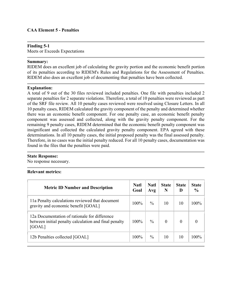# **CAA Element 5 - Penalties**

# **Finding 5-1**

Meets or Exceeds Expectations

# **Summary:**

RIDEM does an excellent job of calculating the gravity portion and the economic benefit portion of its penalties according to RIDEM's Rules and Regulations for the Assessment of Penalties. RIDEM also does an excellent job of documenting that penalties have been collected.

#### **Explanation:**

A total of 9 out of the 30 files reviewed included penalties. One file with penalties included 2 separate penalties for 2 separate violations. Therefore, a total of 10 penalties were reviewed as part of the SRF file review. All 10 penalty cases reviewed were resolved using Closure Letters. In all 10 penalty cases, RIDEM calculated the gravity component of the penalty and determined whether there was an economic benefit component. For one penalty case, an economic benefit penalty component was assessed and collected, along with the gravity penalty component. For the remaining 9 penalty cases, RIDEM determined that the economic benefit penalty component was insignificant and collected the calculated gravity penalty component. EPA agreed with these determinations. In all 10 penalty cases, the initial proposed penalty was the final assessed penalty. Therefore, in no cases was the initial penalty reduced. For all 10 penalty cases, documentation was found in the files that the penalties were paid.

#### **State Response:**

No response necessary.

| <b>Metric ID Number and Description</b>                                                                          | Natl<br>Goal | <b>Natl</b><br>Avg | <b>State</b><br>N | <b>State</b><br>D | <b>State</b><br>$\frac{6}{9}$ |
|------------------------------------------------------------------------------------------------------------------|--------------|--------------------|-------------------|-------------------|-------------------------------|
| 11a Penalty calculations reviewed that document<br>gravity and economic benefit [GOAL]                           | $100\%$      | $\frac{0}{0}$      | 10                | 10                | 100%                          |
| 12a Documentation of rationale for difference<br>between initial penalty calculation and final penalty<br>[GOAL] | 100%         | $\frac{0}{0}$      | $\Omega$          | $\Omega$          | $\theta$                      |
| 12b Penalties collected [GOAL]                                                                                   | 100%         | $\%$               | 10                | 10                | 100%                          |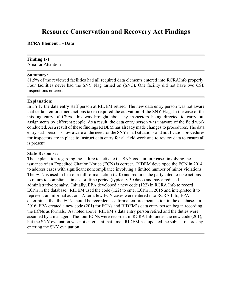# **Resource Conservation and Recovery Act Findings**

#### **RCRA Element 1 - Data**

# **Finding 1-1**

Area for Attention

#### **Summary:**

81.5% of the reviewed facilities had all required data elements entered into RCRAInfo properly. Four facilities never had the SNY Flag turned on (SNC). One facility did not have two CSE Inspections entered.

#### **Explanation:**

In FY17 the data entry staff person at RIDEM retired. The new data entry person was not aware that certain enforcement actions taken required the activation of the SNY Flag. In the case of the missing entry of CSEs, this was brought about by inspectors being directed to carry out assignments by different people. As a result, the data entry person was unaware of the field work conducted. As a result of these findings RIDEM has already made changes to procedures. The data entry staff person is now aware of the need for the SNY in all situations and notification procedures for inspectors are in place to instruct data entry for all field work and to review data to ensure all is present.

#### **State Response:**

The explanation regarding the failure to activate the SNY code in four cases involving the issuance of an Expedited Citation Notice (ECN) is correct. RIDEM developed the ECN in 2014 to address cases with significant noncompliance involving a limited number of minor violations. The ECN is used in lieu of a full formal action (210) and requires the party cited to take actions to return to compliance in a short time period (typically 30 days) and pay a reduced administrative penalty. Initially, EPA developed a new code (122) in RCRA Info to record ECNs in the database. RIDEM used the code (122) to enter ECNs in 2015 and interpreted it to represent an informal action. After a few ECN cases were entered into RCRA Info, EPA determined that the ECN should be recorded as a formal enforcement action in the database. In 2016, EPA created a new code (201) for ECNs and RIDEM's data entry person began recording the ECNs as formals. As noted above, RIDEM's data entry person retired and the duties were assumed by a manager. The four ECNs were recorded in RCRA Info under the new code (201), but the SNY evaluation was not entered at that time. RIDEM has updated the subject records by entering the SNY evaluation.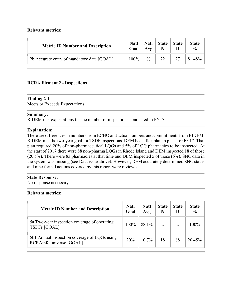# **Relevant metrics:**

| <b>Metric ID Number and Description</b>    | <b>Natl</b><br>Goal | <b>Natl</b><br>Avg | <b>State</b> | <b>State</b> | <b>State</b><br>$\frac{0}{0}$ |
|--------------------------------------------|---------------------|--------------------|--------------|--------------|-------------------------------|
| 2b Accurate entry of mandatory data [GOAL] | 100%                | $\frac{0}{0}$      | 22           | 27           | 81.48%                        |

# **RCRA Element 2 - Inspections**

# **Finding 2-1**

Meets or Exceeds Expectations

# **Summary:**

RIDEM met expectations for the number of inspections conducted in FY17.

# **Explanation:**

There are differences in numbers from ECHO and actual numbers and commitments from RIDEM. RIDEM met the two-year goal for TSDF inspections. DEM had a flex plan in place for FY17. That plan required 20% of non-pharmaceutical LQGs and 5% of LQG pharmacies to be inspected. At the start of 2017 there were 88 non-pharma LQGs in Rhode Island and DEM inspected 18 of those (20.5%). There were 83 pharmacies at that time and DEM inspected 5 of those (6%). SNC data in the system was missing (see Data issue above). However, DEM accurately determined SNC status and nine formal actions covered by this report were reviewed.

# **State Response:**

No response necessary.

| <b>Metric ID Number and Description</b>                                  | <b>Natl</b><br>Goal | <b>Natl</b><br>Avg | <b>State</b>   | <b>State</b><br>D | <b>State</b><br>$\frac{6}{6}$ |
|--------------------------------------------------------------------------|---------------------|--------------------|----------------|-------------------|-------------------------------|
| 5a Two-year inspection coverage of operating<br><b>TSDFs [GOAL]</b>      | 100%                | 88.1%              | $\overline{2}$ | 2                 | 100%                          |
| 5b1 Annual inspection coverage of LQGs using<br>RCRAinfo universe [GOAL] | 20%                 | $10.7\%$           | 18             | 88                | 20.45%                        |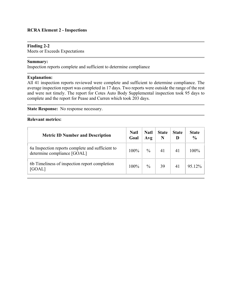# **RCRA Element 2 - Inspections**

## **Finding 2-2**

Meets or Exceeds Expectations

# **Summary:**

Inspection reports complete and sufficient to determine compliance

## **Explanation:**

All 41 inspection reports reviewed were complete and sufficient to determine compliance. The average inspection report was completed in 17 days. Two reports were outside the range of the rest and were not timely. The report for Cotes Auto Body Supplemental inspection took 95 days to complete and the report for Pease and Curren which took 203 days.

**State Response:** No response necessary.

| <b>Metric ID Number and Description</b>                                         | <b>Natl</b><br>Goal | <b>Natl</b><br>Avg | <b>State</b> | <b>State</b><br>D | <b>State</b><br>$\frac{6}{9}$ |
|---------------------------------------------------------------------------------|---------------------|--------------------|--------------|-------------------|-------------------------------|
| 6a Inspection reports complete and sufficient to<br>determine compliance [GOAL] | $100\%$             | $\frac{0}{0}$      | 41           | 41                | 100%                          |
| 6b Timeliness of inspection report completion<br>[GOAL]                         | $100\%$             | $\frac{0}{0}$      | 39           | 41                | 95.12%                        |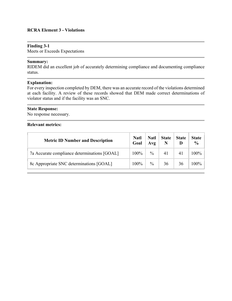## **RCRA Element 3 - Violations**

#### **Finding 3-1**

Meets or Exceeds Expectations

# **Summary:**

RIDEM did an excellent job of accurately determining compliance and documenting compliance status.

#### **Explanation:**

For every inspection completed by DEM, there was an accurate record of the violations determined at each facility. A review of these records showed that DEM made correct determinations of violator status and if the facility was an SNC.

### **State Response:**

No response necessary.

| <b>Metric ID Number and Description</b>      | <b>Natl</b><br>Goal | <b>Natl</b><br>Avg | <b>State</b> | <b>State</b> | <b>State</b><br>$\frac{6}{9}$ |
|----------------------------------------------|---------------------|--------------------|--------------|--------------|-------------------------------|
| 7a Accurate compliance determinations [GOAL] | $100\%$             | $\%$               |              | 41           | 100%                          |
| 8c Appropriate SNC determinations [GOAL]     | $100\%$             | $\frac{0}{0}$      | 36           | 36           | 100%                          |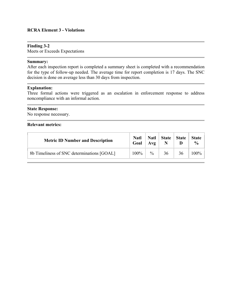## **RCRA Element 3 - Violations**

#### **Finding 3-2**

Meets or Exceeds Expectations

#### **Summary:**

After each inspection report is completed a summary sheet is completed with a recommendation for the type of follow-up needed. The average time for report completion is 17 days. The SNC decision is done on average less than 30 days from inspection.

#### **Explanation:**

Three formal actions were triggered as an escalation in enforcement response to address noncompliance with an informal action.

#### **State Response:**

No response necessary.

| <b>Metric ID Number and Description</b>    | <b>Natl</b><br>Goal | <b>Natl</b><br>A v g | <b>State</b> | <b>State</b> | <b>State</b><br>$\frac{0}{0}$ |
|--------------------------------------------|---------------------|----------------------|--------------|--------------|-------------------------------|
| 8b Timeliness of SNC determinations [GOAL] | 100%                | $\frac{0}{0}$        | 36           | 36           | $100\%$                       |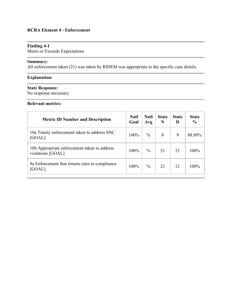# **RCRA Element 4 - Enforcement**

# **Finding 4-1**

Meets or Exceeds Expectations

# **Summary:**

All enforcement taken (21) was taken by RIDEM was appropriate to the specific case details.

# **Explanation:**

# **State Response:**

No response necessary.

| <b>Metric ID Number and Description</b>                           | <b>Natl</b><br>Goal | <b>Natl</b><br>Avg | <b>State</b><br>N | <b>State</b><br>D | <b>State</b><br>$\frac{6}{9}$ |
|-------------------------------------------------------------------|---------------------|--------------------|-------------------|-------------------|-------------------------------|
| 10a Timely enforcement taken to address SNC<br>[GOAL]             | $100\%$             | $\frac{0}{0}$      | 8                 | 9                 | 88.89%                        |
| 10b Appropriate enforcement taken to address<br>violations [GOAL] | $100\%$             | $\frac{0}{0}$      | 21                | 21                | 100%                          |
| 9a Enforcement that returns sites to compliance<br>[GOAL]         | $100\%$             | $\frac{0}{0}$      | 21                | 21                | 100%                          |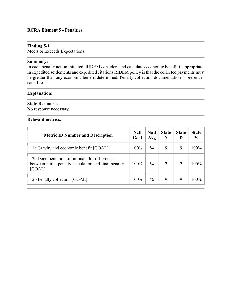# **RCRA Element 5 - Penalties**

## **Finding 5-1**

Meets or Exceeds Expectations

#### **Summary:**

In each penalty action initiated, RIDEM considers and calculates economic benefit if appropriate. In expedited settlements and expedited citations RIDEM policy is that the collected payments must be greater than any economic benefit determined. Penalty collection documentation is present in each file.

#### **Explanation:**

#### **State Response:**

No response necessary.

| <b>Metric ID Number and Description</b>                                                                          | Natl<br>Goal | <b>Natl</b><br>Avg | <b>State</b><br>N | <b>State</b><br>D | <b>State</b><br>$\frac{0}{0}$ |
|------------------------------------------------------------------------------------------------------------------|--------------|--------------------|-------------------|-------------------|-------------------------------|
| 11a Gravity and economic benefit [GOAL]                                                                          | 100%         | $\frac{0}{0}$      | 9                 | 9                 | 100%                          |
| 12a Documentation of rationale for difference<br>between initial penalty calculation and final penalty<br>[GOAL] | $100\%$      | $\frac{0}{0}$      | $\overline{2}$    | $\mathcal{D}$     | $100\%$                       |
| 12b Penalty collection [GOAL]                                                                                    | 100%         | $\frac{0}{0}$      | 9                 | 9                 | 100%                          |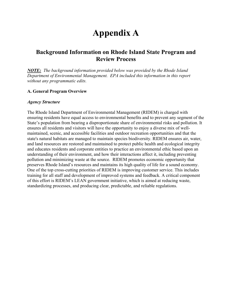# **Appendix A**

# **Background Information on Rhode Island State Program and Review Process**

*NOTE:**The background information provided below was provided by the Rhode Island Department of Environmental Management. EPA included this information in this report without any programmatic edits.*

# **A. General Program Overview**

#### *Agency Structure*

The Rhode Island Department of Environmental Management (RIDEM) is charged with ensuring residents have equal access to environmental benefits and to prevent any segment of the State's population from bearing a disproportionate share of environmental risks and pollution. It ensures all residents and visitors will have the opportunity to enjoy a diverse mix of wellmaintained, scenic, and accessible facilities and outdoor recreation opportunities and that the state's natural habitats are managed to maintain species biodiversity. RIDEM ensures air, water, and land resources are restored and maintained to protect public health and ecological integrity and educates residents and corporate entities to practice an environmental ethic based upon an understanding of their environment, and how their interactions affect it, including preventing pollution and minimizing waste at the source. RIDEM promotes economic opportunity that preserves Rhode Island's resources and maintains its high quality of life for a sound economy. One of the top cross-cutting priorities of RIDEM is improving customer service. This includes training for all staff and development of improved systems and feedback. A critical component of this effort is RIDEM's LEAN government initiative, which is aimed at reducing waste, standardizing processes, and producing clear, predictable, and reliable regulations.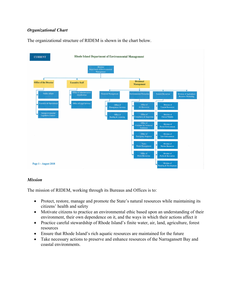# *Organizational Chart*

The organizational structure of RIDEM is shown in the chart below.



# *Mission*

The mission of RIDEM, working through its Bureaus and Offices is to:

- Protect, restore, manage and promote the State's natural resources while maintaining its citizens' health and safety
- Motivate citizens to practice an environmental ethic based upon an understanding of their environment, their own dependence on it, and the ways in which their actions affect it
- Practice careful stewardship of Rhode Island's finite water, air, land, agriculture, forest resources
- Ensure that Rhode Island's rich aquatic resources are maintained for the future
- Take necessary actions to preserve and enhance resources of the Narragansett Bay and coastal environments.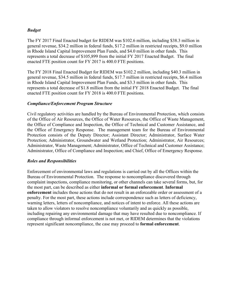# *Budget*

The FY 2017 Final Enacted budget for RIDEM was \$102.6 million, including \$38.3 million in general revenue, \$34.2 million in federal funds, \$17.2 million in restricted receipts, \$9.0 million in Rhode Island Capital Improvement Plan Funds, and \$4.0 million in other funds. This represents a total decrease of \$105,899 from the initial FY 2017 Enacted Budget. The final enacted FTE position count for FY 2017 is 400.0 FTE positions.

The FY 2018 Final Enacted Budget for RIDEM was \$102.2 million, including \$40.3 million in general revenue, \$34.5 million in federal funds, \$17.7 million in restricted receipts, \$6.4 million in Rhode Island Capital Improvement Plan Funds, and \$3.3 million in other funds. This represents a total decrease of \$1.8 million from the initial FY 2018 Enacted Budget. The final enacted FTE position count for FY 2018 is 400.0 FTE positions.

# *Compliance/Enforcement Program Structure*

Civil regulatory activities are handled by the Bureau of Environmental Protection, which consists of the Office of Air Resources, the Office of Water Resources, the Office of Waste Management, the Office of Compliance and Inspection, the Office of Technical and Customer Assistance, and the Office of Emergency Response. The management team for the Bureau of Environmental Protection consists of the Deputy Director; Assistant Director; Administrator, Surface Water Protection; Administrator, Groundwater and Wetland Protection; Administrator, Air Resources; Administrator, Waste Management; Administrator, Office of Technical and Customer Assistance; Administrator, Office of Compliance and Inspection; and Chief, Office of Emergency Response.

# *Roles and Responsibilities*

Enforcement of environmental laws and regulations is carried out by all the Offices within the Bureau of Environmental Protection. The response to noncompliance discovered through complaint inspections, compliance monitoring, or other channels can take several forms, but, for the most part, can be described as either **informal or formal enforcement**. **Informal enforcement** includes those actions that do not result in an enforceable order or assessment of a penalty. For the most part, these actions include correspondence such as letters of deficiency, warning letters, letters of noncompliance, and notices of intent to enforce. All these actions are taken to allow violators to resolve noncompliance voluntarily and as quickly as possible, including repairing any environmental damage that may have resulted due to noncompliance. If compliance through informal enforcement is not met, or RIDEM determines that the violations represent significant noncompliance, the case may proceed to **formal enforcement**.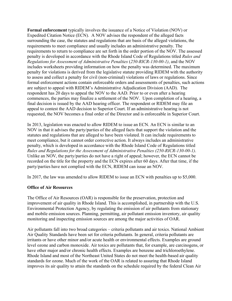**Formal enforcement** typically involves the issuance of a Notice of Violation (NOV) or Expedited Citation Notice (ECN). A NOV advises the respondent of the alleged facts surrounding the case, the statutes and regulations that are basis of the alleged violations, the requirements to meet compliance and usually includes an administrative penalty. The requirements to return to compliance are set forth in the order portion of the NOV. The assessed penalty is developed in accordance with the Rhode Island Code of Regulations titled *Rules and Regulations for Assessment of Administrative Penalties* (*250-RICR-130-00-1)*, and the NOV includes worksheets providing information on how the penalty was determined. The maximum penalty for violations is derived from the legislative statute providing RIDEM with the authority to assess and collect a penalty for civil (non-criminal) violations of laws or regulations. Since formal enforcement actions contain enforceable orders and assessments of penalties, such actions are subject to appeal with RIDEM's Administrative Adjudication Division (AAD). The respondent has 20 days to appeal the NOV to the AAD. Prior to or even after a hearing commences, the parties may finalize a settlement of the NOV. Upon completion of a hearing, a final decision is issued by the AAD hearing officer. The respondent or RIDEM may file an appeal to contest the AAD decision to Superior Court. If an administrative hearing is not requested, the NOV becomes a final order of the Director and is enforceable in Superior Court.

In 2013, legislation was enacted to allow RIDEM to issue an ECN. An ECN is similar to an NOV in that it advises the party/parties of the alleged facts that support the violation and the statutes and regulations that are alleged to have been violated. It can include requirements to meet compliance, but it cannot order corrective action. It always includes an administrative penalty, which is developed in accordance with the Rhode Island Code of Regulations titled *Rules and Regulations for the Assessment of Administrative Penalties (250-RICR-130-00-1)*. Unlike an NOV, the party/parties do not have a right of appeal; however, the ECN cannot be recorded on the title for the property and the ECN expires after 60 days. After that time, if the party/parties have not complied with the ECN, RIDEM can issue an NOV.

In 2017, the law was amended to allow RIDEM to issue an ECN with penalties up to \$5,000.

# **Office of Air Resources**

The Office of Air Resources (OAR) is responsible for the preservation, protection and improvement of air quality in Rhode Island. This is accomplished, in partnership with the U.S. Environmental Protection Agency, by regulating the emission of air pollutants from stationary and mobile emission sources. Planning, permitting, air pollutant emission inventory, air quality monitoring and inspecting emission sources are among the major activities of OAR.

Air pollutants fall into two broad categories – criteria pollutants and air toxics. National Ambient Air Quality Standards have been set for criteria pollutants. In general, criteria pollutants are irritants or have other minor and/or acute health or environmental effects. Examples are ground level ozone and carbon monoxide. Air toxics are pollutants that, for example, are carcinogens, or have other major and/or chronic health effects. Examples are benzene and trichloroethylene. Rhode Island and most of the Northeast United States do not meet the health-based air quality standards for ozone. Much of the work of the OAR is related to assuring that Rhode Island improves its air quality to attain the standards on the schedule required by the federal Clean Air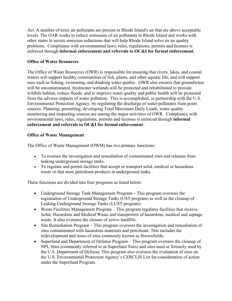Act. A number of toxic air pollutants are present in Rhode Island's air that are above acceptable levels. The OAR works to reduce emissions of air pollutants in Rhode Island and works with other states to secure emission reductions that will help Rhode Island solve its air quality problems. Compliance with environmental laws, rules, regulations, permits and licenses is enforced through **informal enforcement and referrals to OC&I for formal enforcement**.

# **Office of Water Resources**

The Office of Water Resources (OWR) is responsible for ensuring that rivers, lakes, and coastal waters will support healthy communities of fish, plants, and other aquatic life, and will support uses such as fishing, swimming, and drinking water quality. OWR also ensures that groundwater will be uncontaminated, freshwater wetlands will be protected and rehabilitated to provide wildlife habitat, reduce floods, and to improve water quality and public health will be protected from the adverse impacts of water pollution. This is accomplished, in partnership with the U.S. Environmental Protection Agency, by regulating the discharge of water pollutants from point sources. Planning, permitting, developing Total Maximum Daily Loads, water quality monitoring and inspecting sources are among the major activities of OWR. Compliance with environmental laws, rules, regulations, permits and licenses is enforced through **informal enforcement and referrals to OC&I for formal enforcement**.

# **Office of Waste Management**

The Office of Waste Management (OWM) has two primary functions:

- To oversee the investigation and remediation of contaminated sites and releases from leaking underground storage tanks.
- To regulate and permit facilities that accept or transport solid, medical or hazardous waste or that store petroleum products in underground tanks.

These functions are divided into four programs as listed below:

- Underground Storage Tank Management Program This program oversees the registration of Underground Storage Tanks (UST program) as well as the cleanup of Leaking Underground Storage Tanks (LUST program).
- Waste Facilities Management Program This program regulates facilities that receive Solid, Hazardous and Medical Waste and transporters of hazardous, medical and septage waste. It also oversees the closure of active landfills.
- Site Remediation Program This program oversees the investigation and remediation of sites contaminated with hazardous materials and petroleum. This includes the redevelopment and reuse of sites commonly known as Brownfields.
- Superfund and Department of Defense Program This program oversees the cleanup of NPL Sites (commonly referred to as Superfund Sites) and sites used or formerly used by the U.S. Department of Defense. This program also oversees the evaluation of sites on the U.S. Environmental Protection Agency's CERCLIS List for consideration of action under the Superfund Program.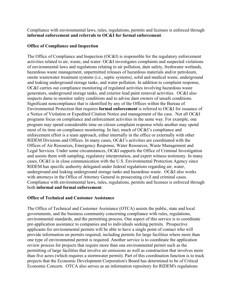Compliance with environmental laws, rules, regulations, permits and licenses is enforced through **informal enforcement and referrals to OC&I for formal enforcement**.

# **Office of Compliance and Inspection**

The Office of Compliance and Inspection (OC&I) is responsible for the regulatory enforcement activities related to air, waste, and water. OC&I investigates complaints and suspected violations of environmental laws and regulations relating to air pollution, dam safety, freshwater wetlands, hazardous waste management, unpermitted releases of hazardous materials and/or petroleum, onsite wastewater treatment systems (i.e., septic systems), solid and medical waste, underground and leaking underground storage tanks, and water pollution. In addition to complaint response, OC&I carries out compliance monitoring of regulated activities involving hazardous waste generators, underground storage tanks, and exterior lead paint removal activities. OC&I also inspects dams to monitor safety conditions and to advise dam owners of unsafe conditions. Significant noncompliance that is identified by any of the Offices within the Bureau of Environmental Protection that requires **formal enforcement** is referred to OC&I for issuance of a Notice of Violation or Expedited Citation Notice and management of the case. Not all OC&I programs focus on compliance and enforcement activities in the same way. For example, one program may spend considerable time on citizen complaint response while another may spend most of its time on compliance monitoring. In fact, much of OC&I's compliance and enforcement effort is a team approach, either internally in the office or externally with other RIDEM Divisions and Offices. In many cases, OC&I's activities are coordinated with the Offices of Air Resources, Emergency Response, Water Resources, Waste Management and Legal Services. Under some circumstances, OC&I supports the Office of Criminal Investigation and assists them with sampling, regulatory interpretation, and expert witness testimony. In many cases, OC&I is in close communication with the U.S. Environmental Protection Agency since RIDEM has specific authority delegated under federal regulations regarding air, water, underground and leaking underground storage tanks and hazardous waste. OC&I also works with attorneys in the Office of Attorney General in prosecuting civil and criminal cases. Compliance with environmental laws, rules, regulations, permits and licenses is enforced through both **informal and formal enforcement**.

# **Office of Technical and Customer Assistance**

The Office of Technical and Customer Assistance (OTCA) assists the public, state and local governments, and the business community concerning compliance with rules, regulations, environmental standards, and the permitting process. One aspect of this service is to coordinate pre-application assistance to companies and to individuals seeking permits. Prospective applicants for environmental permits will be able to have a single point of contact who will provide information on permits required, including permits for large facilities where more than one type of environmental permit is required. Another service is to coordinate the application review process for projects that require more than one environmental permit such as the permitting of large facilities that involve air emissions as well as construction that involves more than five acres (which requires a stormwater permit). Part of this coordination function is to track projects that the Economic Development Corporation's Board has determined to be of Critical Economic Concern. OTCA also serves as an information repository for RIDEM's regulations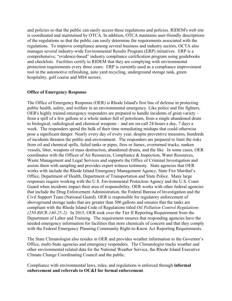and policies so that the public can easily access these regulations and policies. RIDEM's web site is coordinated and maintained by OTCA. In addition, OTCA maintains user-friendly descriptions of the regulations so that the public can easily determine the requirements associated with the regulations. To improve compliance among several business and industry sectors, OCTA also manages several industry-wide Environmental Results Program (ERP) initiatives. ERP is a comprehensive, "evidence-based" industry compliance certification program using guidebooks and checklists. Facilities certify to RIDEM that they are complying with environmental protection requirements every three years. ERP is currently used as a compliance improvement tool in the automotive refinishing, auto yard recycling, underground storage tank, green hospitality, golf course and MS4 sectors.

#### **Office of Emergency Response**

The Office of Emergency Response (OER) is Rhode Island's first line of defense in protecting public health, safety, and welfare in an environmental emergency. Like police and fire fighters, OER's highly trained emergency responders are prepared to handle incidents of great variety – from a spill of a few gallons to a whole tanker-full of petroleum, from a single abandoned drum to biological, radiological and chemical weapons – and are on-call 24-hours a day, 7 days a week. The responders spend the bulk of their time remediating mishaps that could otherwise pose a significant danger. Nearly every day of every year, despite preventive measures, hundreds of incidents threaten the public and environment. The responders are prepared to limit the risks from oil and chemical spills, failed tanks or pipes, fires or fumes, overturned trucks, sunken vessels, litter, weapons of mass destruction, abandoned drums, and the like. In some cases, OER coordinates with the Offices of Air Resources, Compliance & Inspection, Water Resources, Waste Management and Legal Services and supports the Office of Criminal Investigation and assists them with sampling and provides expert witness testimony. State agencies that OER works with include the Rhode Island Emergency Management Agency, State Fire Marshal's Office, Department of Health, Department of Transportation and State Police. Many large responses require working with the U.S. Environmental Protection Agency and the U.S. Coast Guard when incidents impact their area of responsibility. OER works with other federal agencies that include the Drug Enforcement Administration, the Federal Bureau of Investigation and the Civil Support Team (National Guard). OER is responsible for regulatory enforcement of aboveground storage tanks that are greater than 500 gallons and ensures that the tanks are compliant with the Rhode Island Code of Regulations titled *Oil Pollution Control Regulations (250-RICR-140-25-2)*. In 2015, OER took over the Tier II Reporting Requirement from the Department of Labor and Training. The requirement ensures that responding agencies have the needed emergency information for facilities that store chemicals of concern and that they comply with the Federal Emergency Planning Community Right-to-Know Act Reporting Requirements.

The State Climatologist also resides in OER and provides weather information to the Governor's Office, multi-State agencies and emergency responders. The Climatologist tracks weather and other environmental related data for the National Weather Service, the Rhode Island Executive Climate Change Coordinating Council and the public.

Compliance with environmental laws, rules, and regulations is enforced through **informal enforcement and referrals to OC&I for formal enforcement**.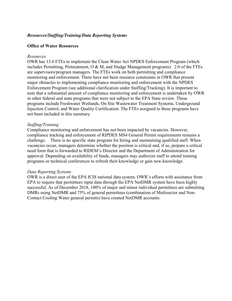# *Resources/Staffing/Training/Data Reporting Systems*

## **Office of Water Resources**

#### *Resources*

OWR has 13.0 FTEs to implement the Clean Water Act NPDES Enforcement Program (which includes Permitting, Pretreatment, O & M, and Sludge Management programs). 2.0 of the FTEs are supervisors/program managers. The FTEs work on both permitting and compliance monitoring and enforcement. There have not been resource constraints in OWR that present major obstacles to implementing compliance monitoring and enforcement with the NPDES Enforcement Program (see additional clarification under Staffing/Tracking). It is important to note that a substantial amount of compliance monitoring and enforcement is undertaken by OWR in other federal and state programs that were not subject to the EPA State review. These programs include Freshwater Wetlands, On Site Wastewater Treatment Systems, Underground Injection Control, and Water Quality Certification. The FTEs assigned to these programs have not been included in this summary.

#### *Staffing/Training*

Compliance monitoring and enforcement has not been impacted by vacancies. However, compliance tracking and enforcement of RIPDES MS4 General Permit requirements remains a challenge. There is no specific state program for hiring and maintaining qualified staff. When vacancies occur, managers determine whether the position is critical and, if so, prepare a critical need form that is forwarded to RIDEM's Director and the Department of Administration for approval. Depending on availability of funds, managers may authorize staff to attend training programs or technical conferences to refresh their knowledge or gain new knowledge.

#### *Data Reporting Systems*

OWR is a direct user of the EPA ICIS national data system. OWR's efforts with assistance from EPA to require that permittees input data through the EPA NetDMR system have been highly successful. As of December 2018, 100% of major and minor individual permittees are submitting DMRs using NetDMR and 75% of general permittees (combination of Multisector and Non-Contact Cooling Water general permits) have created NetDMR accounts.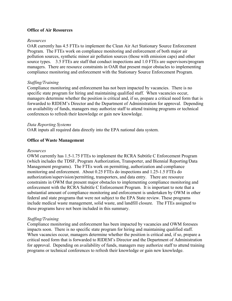# **Office of Air Resources**

## *Resources*

OAR currently has 4.5 FTEs to implement the Clean Air Act Stationary Source Enforcement Program. The FTEs work on compliance monitoring and enforcement of both major air pollution sources, synthetic minor air pollution sources (those with emission caps) and other source types. 3.5 FTEs are staff that conduct inspections and 1.0 FTEs are supervisors/program managers. There are resource constraints in OAR that present major obstacles to implementing compliance monitoring and enforcement with the Stationary Source Enforcement Program.

# *Staffing/Training*

Compliance monitoring and enforcement has not been impacted by vacancies. There is no specific state program for hiring and maintaining qualified staff. When vacancies occur, managers determine whether the position is critical and, if so, prepare a critical need form that is forwarded to RIDEM's Director and the Department of Administration for approval. Depending on availability of funds, managers may authorize staff to attend training programs or technical conferences to refresh their knowledge or gain new knowledge.

# *Data Reporting Systems*

OAR inputs all required data directly into the EPA national data system.

# **Office of Waste Management**

#### *Resources*

OWM currently has 1.5-1.75 FTEs to implement the RCRA Subtitle C Enforcement Program (which includes the TDSF, Program Authorization, Transporter, and Biennial Reporting/Data Management programs). The FTEs work on permitting, authorization and compliance monitoring and enforcement. About 0.25 FTEs do inspections and 1.25-1.5 FTEs do authorization/supervision/permitting, transporters, and data entry. There are resource constraints in OWM that present major obstacles to implementing compliance monitoring and enforcement with the RCRA Subtitle C Enforcement Program. It is important to note that a substantial amount of compliance monitoring and enforcement is undertaken by OWM in other federal and state programs that were not subject to the EPA State review. These programs include medical waste management, solid waste, and landfill closure. The FTEs assigned to these programs have not been included in this summary.

# *Staffing/Training*

Compliance monitoring and enforcement has been impacted by vacancies and OWM foresees impacts soon. There is no specific state program for hiring and maintaining qualified staff. When vacancies occur, managers determine whether the position is critical and, if so, prepare a critical need form that is forwarded to RIDEM's Director and the Department of Administration for approval. Depending on availability of funds, managers may authorize staff to attend training programs or technical conferences to refresh their knowledge or gain new knowledge.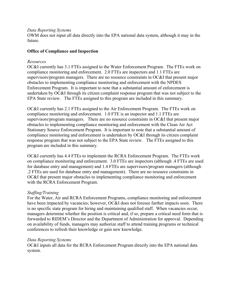#### *Data Reporting Systems*

OWM does not input all data directly into the EPA national data system, although it may in the future.

# **Office of Compliance and Inspection**

# *Resources*

OC&I currently has 3.1 FTEs assigned to the Water Enforcement Program. The FTEs work on compliance monitoring and enforcement. 2.0 FTEs are inspectors and 1.1 FTEs are supervisors/program managers. There are no resource constraints in OC&I that present major obstacles to implementing compliance monitoring and enforcement with the NPDES Enforcement Program. It is important to note that a substantial amount of enforcement is undertaken by OC&I through its citizen complaint response program that was not subject to the EPA State review. The FTEs assigned to this program are included in this summary.

OC&I currently has 2.1 FTEs assigned to the Air Enforcement Program. The FTEs work on compliance monitoring and enforcement. 1.0 FTE is an inspector and 1.1 FTEs are supervisors/program managers. There are no resource constraints in OC&I that present major obstacles to implementing compliance monitoring and enforcement with the Clean Air Act Stationary Source Enforcement Program. It is important to note that a substantial amount of compliance monitoring and enforcement is undertaken by OC&I through its citizen complaint response program that was not subject to the EPA State review. The FTEs assigned to this program are included in this summary.

OC&I currently has 4.4 FTEs to implement the RCRA Enforcement Program. The FTEs work on compliance monitoring and enforcement. 3.0 FTEs are inspectors (although .4 FTEs are used for database entry and management) and 1.4 FTEs are supervisors/program managers (although .2 FTEs are used for database entry and management). There are no resource constraints in OC&I that present major obstacles to implementing compliance monitoring and enforcement with the RCRA Enforcement Program.

# *Staffing/Training*

For the Water, Air and RCRA Enforcement Programs, compliance monitoring and enforcement have been impacted by vacancies; however, OC&I does not foresee further impacts soon. There is no specific state program for hiring and maintaining qualified staff. When vacancies occur, managers determine whether the position is critical and, if so, prepare a critical need form that is forwarded to RIDEM's Director and the Department of Administration for approval. Depending on availability of funds, managers may authorize staff to attend training programs or technical conferences to refresh their knowledge or gain new knowledge.

# *Data Reporting Systems*

OC&I inputs all data for the RCRA Enforcement Program directly into the EPA national data system.